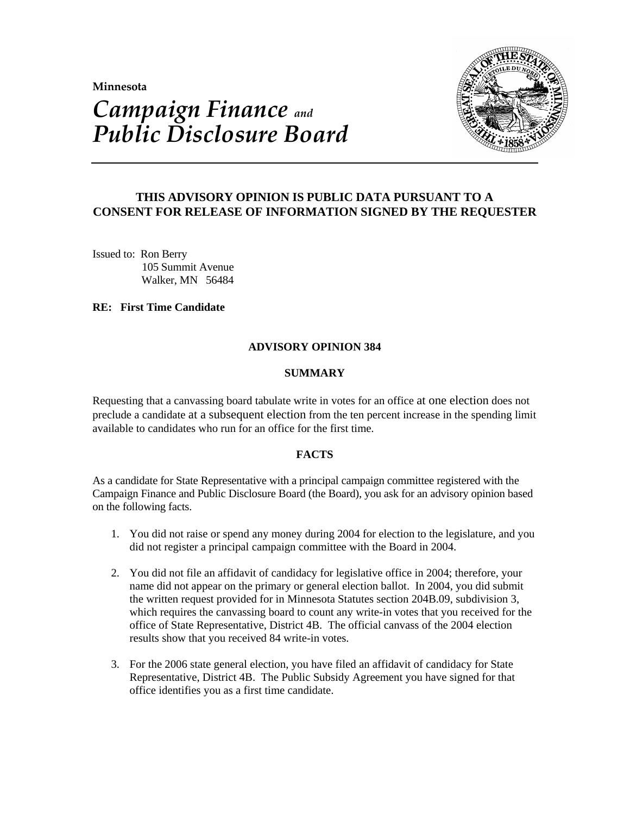**Minnesota** 

# *Campaign Finance and Public Disclosure Board*



# **THIS ADVISORY OPINION IS PUBLIC DATA PURSUANT TO A CONSENT FOR RELEASE OF INFORMATION SIGNED BY THE REQUESTER**

Issued to: Ron Berry 105 Summit Avenue Walker, MN 56484

**RE: First Time Candidate**

### **ADVISORY OPINION 384**

### **SUMMARY**

Requesting that a canvassing board tabulate write in votes for an office at one election does not preclude a candidate at a subsequent election from the ten percent increase in the spending limit available to candidates who run for an office for the first time.

# **FACTS**

As a candidate for State Representative with a principal campaign committee registered with the Campaign Finance and Public Disclosure Board (the Board), you ask for an advisory opinion based on the following facts.

- 1. You did not raise or spend any money during 2004 for election to the legislature, and you did not register a principal campaign committee with the Board in 2004.
- 2. You did not file an affidavit of candidacy for legislative office in 2004; therefore, your name did not appear on the primary or general election ballot. In 2004, you did submit the written request provided for in Minnesota Statutes section 204B.09, subdivision 3, which requires the canvassing board to count any write-in votes that you received for the office of State Representative, District 4B. The official canvass of the 2004 election results show that you received 84 write-in votes.
- 3. For the 2006 state general election, you have filed an affidavit of candidacy for State Representative, District 4B. The Public Subsidy Agreement you have signed for that office identifies you as a first time candidate.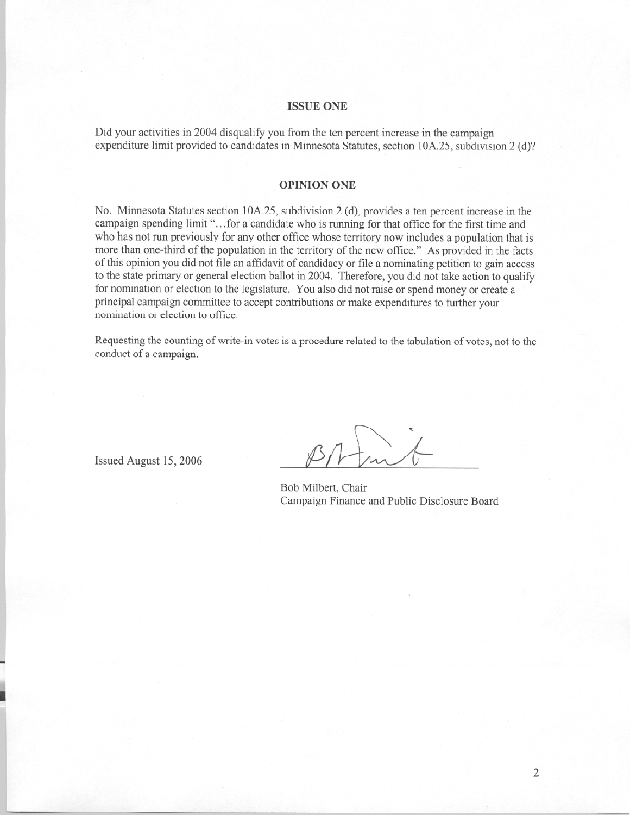#### **ISSUE ONE**

Did your activities in 2004 disqualify you from the ten percent increase in the campaign expenditure limit provided to candidates in Minnesota Statutes, section 10A.25, subdivision 2 (d)?

#### **OPINION ONE**

No. Minnesota Statutes section 10A.25, subdivision 2 (d), provides a ten percent increase in the campaign spending limit "...for a candidate who is running for that office for the first time and who has not run previously for any other office whose territory now includes a population that is more than one-third of the population in the territory of the new office." As provided in the facts of this opinion you did not file an affidavit of candidacy or file a nominating petition to gain access to the state primary or general election ballot in 2004. Therefore, you did not take action to qualify for nomination or election to the legislature. You also did not raise or spend money or create a principal campaign committee to accept contributions or make expenditures to further your nomination or election to office.

Requesting the counting of write-in votes is a procedure related to the tabulation of votes, not to the conduct of a campaign.

Issued August 15, 2006

Bob Milbert, Chair Campaign Finance and Public Disclosure Board